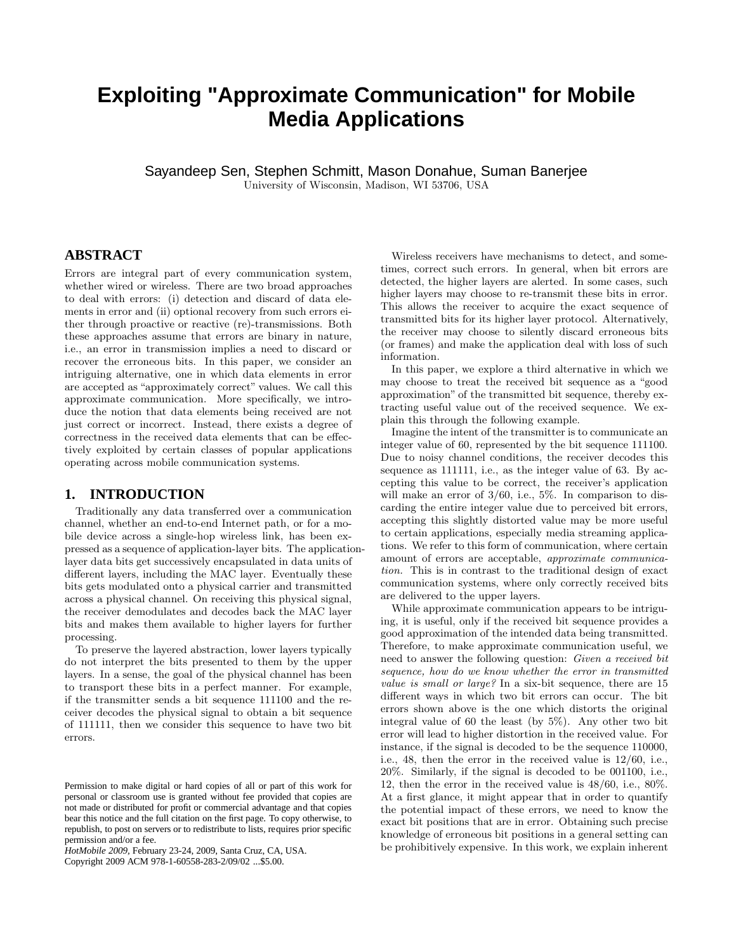# **Exploiting "Approximate Communication" for Mobile Media Applications**

Sayandeep Sen, Stephen Schmitt, Mason Donahue, Suman Banerjee University of Wisconsin, Madison, WI 53706, USA

## **ABSTRACT**

Errors are integral part of every communication system, whether wired or wireless. There are two broad approaches to deal with errors: (i) detection and discard of data elements in error and (ii) optional recovery from such errors either through proactive or reactive (re)-transmissions. Both these approaches assume that errors are binary in nature, i.e., an error in transmission implies a need to discard or recover the erroneous bits. In this paper, we consider an intriguing alternative, one in which data elements in error are accepted as "approximately correct" values. We call this approximate communication. More specifically, we introduce the notion that data elements being received are not just correct or incorrect. Instead, there exists a degree of correctness in the received data elements that can be effectively exploited by certain classes of popular applications operating across mobile communication systems.

## **1. INTRODUCTION**

Traditionally any data transferred over a communication channel, whether an end-to-end Internet path, or for a mobile device across a single-hop wireless link, has been expressed as a sequence of application-layer bits. The applicationlayer data bits get successively encapsulated in data units of different layers, including the MAC layer. Eventually these bits gets modulated onto a physical carrier and transmitted across a physical channel. On receiving this physical signal, the receiver demodulates and decodes back the MAC layer bits and makes them available to higher layers for further processing.

To preserve the layered abstraction, lower layers typically do not interpret the bits presented to them by the upper layers. In a sense, the goal of the physical channel has been to transport these bits in a perfect manner. For example, if the transmitter sends a bit sequence 111100 and the receiver decodes the physical signal to obtain a bit sequence of 111111, then we consider this sequence to have two bit errors.

*HotMobile 2009,* February 23-24, 2009, Santa Cruz, CA, USA.

Copyright 2009 ACM 978-1-60558-283-2/09/02 ...\$5.00.

Wireless receivers have mechanisms to detect, and sometimes, correct such errors. In general, when bit errors are detected, the higher layers are alerted. In some cases, such higher layers may choose to re-transmit these bits in error. This allows the receiver to acquire the exact sequence of transmitted bits for its higher layer protocol. Alternatively, the receiver may choose to silently discard erroneous bits (or frames) and make the application deal with loss of such information.

In this paper, we explore a third alternative in which we may choose to treat the received bit sequence as a "good approximation" of the transmitted bit sequence, thereby extracting useful value out of the received sequence. We explain this through the following example.

Imagine the intent of the transmitter is to communicate an integer value of 60, represented by the bit sequence 111100. Due to noisy channel conditions, the receiver decodes this sequence as 111111, i.e., as the integer value of 63. By accepting this value to be correct, the receiver's application will make an error of  $3/60$ , i.e.,  $5\%$ . In comparison to discarding the entire integer value due to perceived bit errors, accepting this slightly distorted value may be more useful to certain applications, especially media streaming applications. We refer to this form of communication, where certain amount of errors are acceptable, approximate communication. This is in contrast to the traditional design of exact communication systems, where only correctly received bits are delivered to the upper layers.

While approximate communication appears to be intriguing, it is useful, only if the received bit sequence provides a good approximation of the intended data being transmitted. Therefore, to make approximate communication useful, we need to answer the following question: Given a received bit sequence, how do we know whether the error in transmitted value is small or large? In a six-bit sequence, there are 15 different ways in which two bit errors can occur. The bit errors shown above is the one which distorts the original integral value of 60 the least (by 5%). Any other two bit error will lead to higher distortion in the received value. For instance, if the signal is decoded to be the sequence 110000, i.e., 48, then the error in the received value is 12/60, i.e., 20%. Similarly, if the signal is decoded to be 001100, i.e., 12, then the error in the received value is 48/60, i.e., 80%. At a first glance, it might appear that in order to quantify the potential impact of these errors, we need to know the exact bit positions that are in error. Obtaining such precise knowledge of erroneous bit positions in a general setting can be prohibitively expensive. In this work, we explain inherent

Permission to make digital or hard copies of all or part of this work for personal or classroom use is granted without fee provided that copies are not made or distributed for profit or commercial advantage and that copies bear this notice and the full citation on the first page. To copy otherwise, to republish, to post on servers or to redistribute to lists, requires prior specific permission and/or a fee.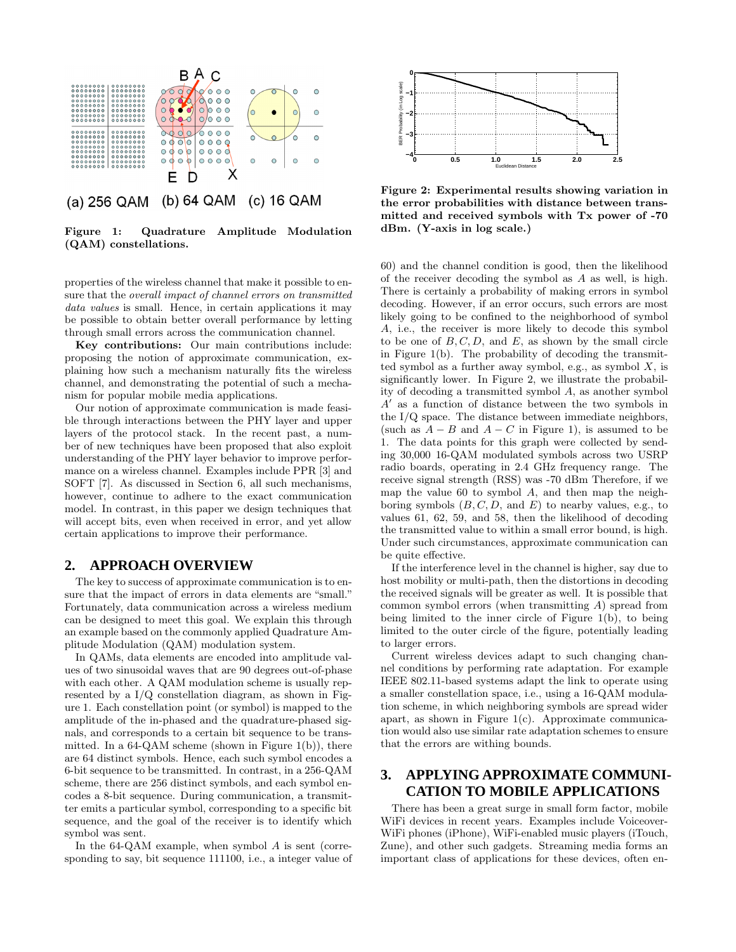

Figure 1: Quadrature Amplitude Modulation (QAM) constellations.

properties of the wireless channel that make it possible to ensure that the overall impact of channel errors on transmitted data values is small. Hence, in certain applications it may be possible to obtain better overall performance by letting through small errors across the communication channel.

Key contributions: Our main contributions include: proposing the notion of approximate communication, explaining how such a mechanism naturally fits the wireless channel, and demonstrating the potential of such a mechanism for popular mobile media applications.

Our notion of approximate communication is made feasible through interactions between the PHY layer and upper layers of the protocol stack. In the recent past, a number of new techniques have been proposed that also exploit understanding of the PHY layer behavior to improve performance on a wireless channel. Examples include PPR [3] and SOFT [7]. As discussed in Section 6, all such mechanisms, however, continue to adhere to the exact communication model. In contrast, in this paper we design techniques that will accept bits, even when received in error, and yet allow certain applications to improve their performance.

#### **2. APPROACH OVERVIEW**

The key to success of approximate communication is to ensure that the impact of errors in data elements are "small." Fortunately, data communication across a wireless medium can be designed to meet this goal. We explain this through an example based on the commonly applied Quadrature Amplitude Modulation (QAM) modulation system.

In QAMs, data elements are encoded into amplitude values of two sinusoidal waves that are 90 degrees out-of-phase with each other. A QAM modulation scheme is usually represented by a I/Q constellation diagram, as shown in Figure 1. Each constellation point (or symbol) is mapped to the amplitude of the in-phased and the quadrature-phased signals, and corresponds to a certain bit sequence to be transmitted. In a  $64$ -QAM scheme (shown in Figure 1(b)), there are 64 distinct symbols. Hence, each such symbol encodes a 6-bit sequence to be transmitted. In contrast, in a 256-QAM scheme, there are 256 distinct symbols, and each symbol encodes a 8-bit sequence. During communication, a transmitter emits a particular symbol, corresponding to a specific bit sequence, and the goal of the receiver is to identify which symbol was sent.

In the 64-QAM example, when symbol A is sent (corresponding to say, bit sequence 111100, i.e., a integer value of



Figure 2: Experimental results showing variation in the error probabilities with distance between transmitted and received symbols with Tx power of -70 dBm. (Y-axis in log scale.)

60) and the channel condition is good, then the likelihood of the receiver decoding the symbol as A as well, is high. There is certainly a probability of making errors in symbol decoding. However, if an error occurs, such errors are most likely going to be confined to the neighborhood of symbol A, i.e., the receiver is more likely to decode this symbol to be one of  $B, C, D$ , and  $E$ , as shown by the small circle in Figure 1(b). The probability of decoding the transmitted symbol as a further away symbol, e.g., as symbol  $X$ , is significantly lower. In Figure 2, we illustrate the probability of decoding a transmitted symbol A, as another symbol  $A'$  as a function of distance between the two symbols in the I/Q space. The distance between immediate neighbors, (such as  $A - B$  and  $A - C$  in Figure 1), is assumed to be 1. The data points for this graph were collected by sending 30,000 16-QAM modulated symbols across two USRP radio boards, operating in 2.4 GHz frequency range. The receive signal strength (RSS) was -70 dBm Therefore, if we map the value 60 to symbol  $A$ , and then map the neighboring symbols  $(B, C, D, \text{ and } E)$  to nearby values, e.g., to values 61, 62, 59, and 58, then the likelihood of decoding the transmitted value to within a small error bound, is high. Under such circumstances, approximate communication can be quite effective.

If the interference level in the channel is higher, say due to host mobility or multi-path, then the distortions in decoding the received signals will be greater as well. It is possible that common symbol errors (when transmitting A) spread from being limited to the inner circle of Figure 1(b), to being limited to the outer circle of the figure, potentially leading to larger errors.

Current wireless devices adapt to such changing channel conditions by performing rate adaptation. For example IEEE 802.11-based systems adapt the link to operate using a smaller constellation space, i.e., using a 16-QAM modulation scheme, in which neighboring symbols are spread wider apart, as shown in Figure  $1(c)$ . Approximate communication would also use similar rate adaptation schemes to ensure that the errors are withing bounds.

# **3. APPLYING APPROXIMATE COMMUNI-CATION TO MOBILE APPLICATIONS**

There has been a great surge in small form factor, mobile WiFi devices in recent years. Examples include Voiceover-WiFi phones (iPhone), WiFi-enabled music players (iTouch, Zune), and other such gadgets. Streaming media forms an important class of applications for these devices, often en-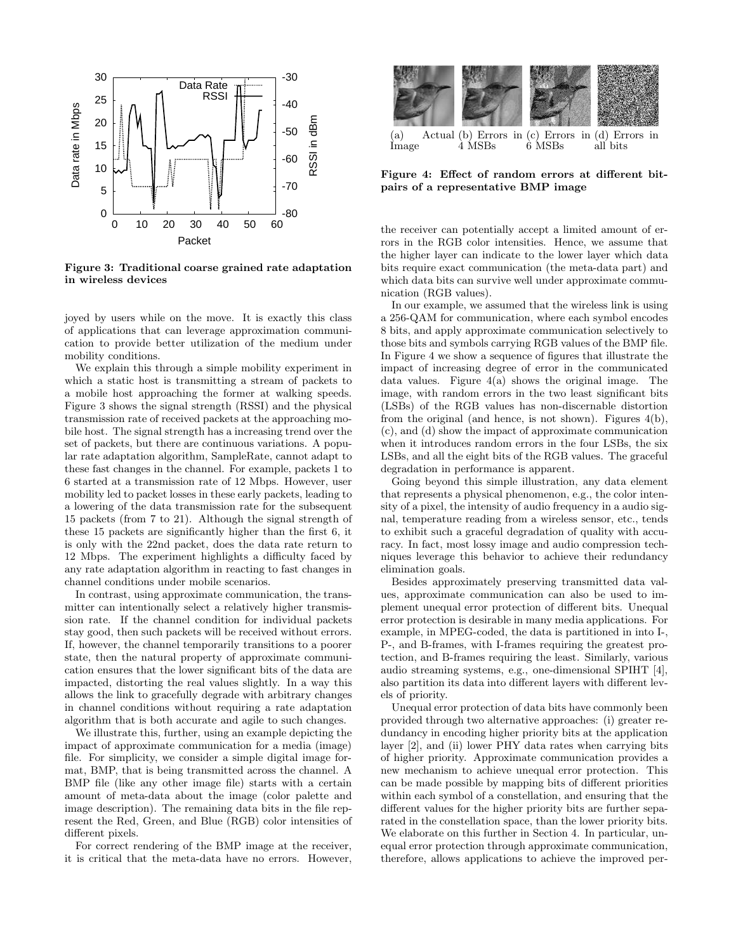

Figure 3: Traditional coarse grained rate adaptation in wireless devices

joyed by users while on the move. It is exactly this class of applications that can leverage approximation communication to provide better utilization of the medium under mobility conditions.

We explain this through a simple mobility experiment in which a static host is transmitting a stream of packets to a mobile host approaching the former at walking speeds. Figure 3 shows the signal strength (RSSI) and the physical transmission rate of received packets at the approaching mobile host. The signal strength has a increasing trend over the set of packets, but there are continuous variations. A popular rate adaptation algorithm, SampleRate, cannot adapt to these fast changes in the channel. For example, packets 1 to 6 started at a transmission rate of 12 Mbps. However, user mobility led to packet losses in these early packets, leading to a lowering of the data transmission rate for the subsequent 15 packets (from 7 to 21). Although the signal strength of these 15 packets are significantly higher than the first 6, it is only with the 22nd packet, does the data rate return to 12 Mbps. The experiment highlights a difficulty faced by any rate adaptation algorithm in reacting to fast changes in channel conditions under mobile scenarios.

In contrast, using approximate communication, the transmitter can intentionally select a relatively higher transmission rate. If the channel condition for individual packets stay good, then such packets will be received without errors. If, however, the channel temporarily transitions to a poorer state, then the natural property of approximate communication ensures that the lower significant bits of the data are impacted, distorting the real values slightly. In a way this allows the link to gracefully degrade with arbitrary changes in channel conditions without requiring a rate adaptation algorithm that is both accurate and agile to such changes.

We illustrate this, further, using an example depicting the impact of approximate communication for a media (image) file. For simplicity, we consider a simple digital image format, BMP, that is being transmitted across the channel. A BMP file (like any other image file) starts with a certain amount of meta-data about the image (color palette and image description). The remaining data bits in the file represent the Red, Green, and Blue (RGB) color intensities of different pixels.

For correct rendering of the BMP image at the receiver, it is critical that the meta-data have no errors. However,



Figure 4: Effect of random errors at different bitpairs of a representative BMP image

the receiver can potentially accept a limited amount of errors in the RGB color intensities. Hence, we assume that the higher layer can indicate to the lower layer which data bits require exact communication (the meta-data part) and which data bits can survive well under approximate communication (RGB values).

In our example, we assumed that the wireless link is using a 256-QAM for communication, where each symbol encodes 8 bits, and apply approximate communication selectively to those bits and symbols carrying RGB values of the BMP file. In Figure 4 we show a sequence of figures that illustrate the impact of increasing degree of error in the communicated data values. Figure 4(a) shows the original image. The image, with random errors in the two least significant bits (LSBs) of the RGB values has non-discernable distortion from the original (and hence, is not shown). Figures 4(b), (c), and (d) show the impact of approximate communication when it introduces random errors in the four LSBs, the six LSBs, and all the eight bits of the RGB values. The graceful degradation in performance is apparent.

Going beyond this simple illustration, any data element that represents a physical phenomenon, e.g., the color intensity of a pixel, the intensity of audio frequency in a audio signal, temperature reading from a wireless sensor, etc., tends to exhibit such a graceful degradation of quality with accuracy. In fact, most lossy image and audio compression techniques leverage this behavior to achieve their redundancy elimination goals.

Besides approximately preserving transmitted data values, approximate communication can also be used to implement unequal error protection of different bits. Unequal error protection is desirable in many media applications. For example, in MPEG-coded, the data is partitioned in into I-, P-, and B-frames, with I-frames requiring the greatest protection, and B-frames requiring the least. Similarly, various audio streaming systems, e.g., one-dimensional SPIHT [4], also partition its data into different layers with different levels of priority.

Unequal error protection of data bits have commonly been provided through two alternative approaches: (i) greater redundancy in encoding higher priority bits at the application layer [2], and (ii) lower PHY data rates when carrying bits of higher priority. Approximate communication provides a new mechanism to achieve unequal error protection. This can be made possible by mapping bits of different priorities within each symbol of a constellation, and ensuring that the different values for the higher priority bits are further separated in the constellation space, than the lower priority bits. We elaborate on this further in Section 4. In particular, unequal error protection through approximate communication, therefore, allows applications to achieve the improved per-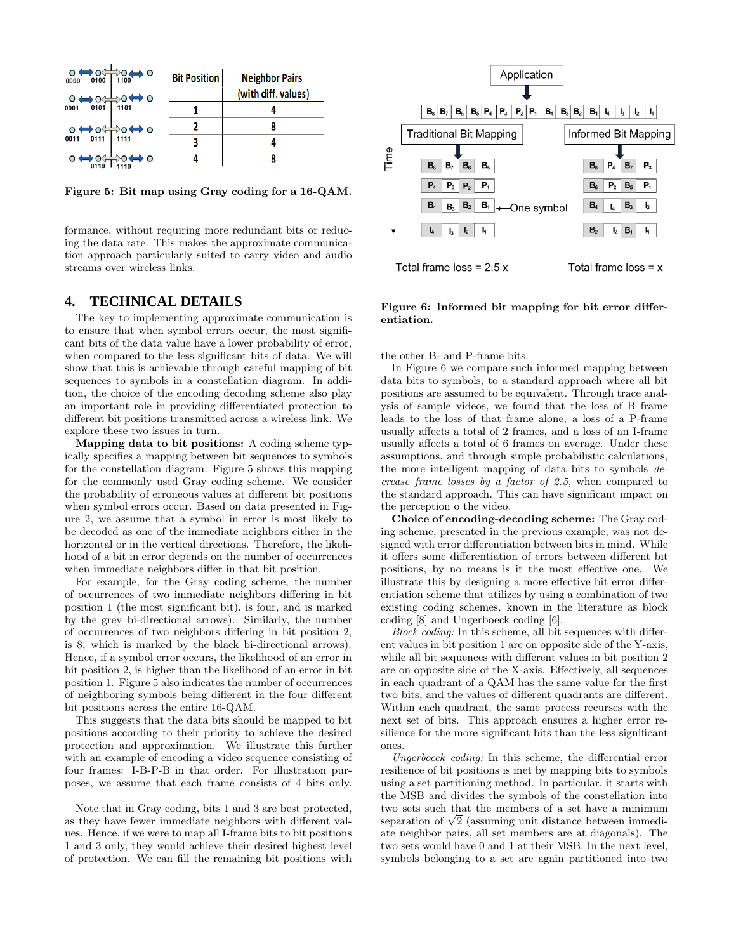| $0 \leftrightarrow 0 \leftrightarrow 0 \leftrightarrow 0$<br>$0 \leftrightarrow 0$ | ▸○<br>$\circ \Leftrightarrow \circ$ | <b>Bit Position</b> | <b>Neighbor Pairs</b><br>(with diff. values) |
|------------------------------------------------------------------------------------|-------------------------------------|---------------------|----------------------------------------------|
| 0101<br>0001                                                                       | 1101                                |                     |                                              |
| $0 \leftrightarrow 0 \leftrightarrow 0$<br>0011 0111 1111                          |                                     |                     |                                              |
| 0011                                                                               |                                     |                     |                                              |
| $\circ \Leftrightarrow \circ \Leftrightarrow$                                      | ∺>o⇔ o                              |                     |                                              |

Figure 5: Bit map using Gray coding for a 16-QAM.

formance, without requiring more redundant bits or reducing the data rate. This makes the approximate communication approach particularly suited to carry video and audio streams over wireless links.

#### **4. TECHNICAL DETAILS**

The key to implementing approximate communication is to ensure that when symbol errors occur, the most significant bits of the data value have a lower probability of error, when compared to the less significant bits of data. We will show that this is achievable through careful mapping of bit sequences to symbols in a constellation diagram. In addition, the choice of the encoding decoding scheme also play an important role in providing differentiated protection to different bit positions transmitted across a wireless link. We explore these two issues in turn.

Mapping data to bit positions: A coding scheme typically specifies a mapping between bit sequences to symbols for the constellation diagram. Figure 5 shows this mapping for the commonly used Gray coding scheme. We consider the probability of erroneous values at different bit positions when symbol errors occur. Based on data presented in Figure 2, we assume that a symbol in error is most likely to be decoded as one of the immediate neighbors either in the horizontal or in the vertical directions. Therefore, the likelihood of a bit in error depends on the number of occurrences when immediate neighbors differ in that bit position.

For example, for the Gray coding scheme, the number of occurrences of two immediate neighbors differing in bit position 1 (the most significant bit), is four, and is marked by the grey bi-directional arrows). Similarly, the number of occurrences of two neighbors differing in bit position 2, is 8, which is marked by the black bi-directional arrows). Hence, if a symbol error occurs, the likelihood of an error in bit position 2, is higher than the likelihood of an error in bit position 1. Figure 5 also indicates the number of occurrences of neighboring symbols being different in the four different bit positions across the entire 16-QAM.

This suggests that the data bits should be mapped to bit positions according to their priority to achieve the desired protection and approximation. We illustrate this further with an example of encoding a video sequence consisting of four frames: I-B-P-B in that order. For illustration purposes, we assume that each frame consists of 4 bits only.

Note that in Gray coding, bits 1 and 3 are best protected, as they have fewer immediate neighbors with different values. Hence, if we were to map all I-frame bits to bit positions 1 and 3 only, they would achieve their desired highest level of protection. We can fill the remaining bit positions with



Figure 6: Informed bit mapping for bit error differentiation.

the other B- and P-frame bits.

In Figure 6 we compare such informed mapping between data bits to symbols, to a standard approach where all bit positions are assumed to be equivalent. Through trace analysis of sample videos, we found that the loss of B frame leads to the loss of that frame alone, a loss of a P-frame usually affects a total of 2 frames, and a loss of an I-frame usually affects a total of 6 frames on average. Under these assumptions, and through simple probabilistic calculations, the more intelligent mapping of data bits to symbols decrease frame losses by a factor of 2.5, when compared to the standard approach. This can have significant impact on the perception o the video.

Choice of encoding-decoding scheme: The Gray coding scheme, presented in the previous example, was not designed with error differentiation between bits in mind. While it offers some differentiation of errors between different bit positions, by no means is it the most effective one. We illustrate this by designing a more effective bit error differentiation scheme that utilizes by using a combination of two existing coding schemes, known in the literature as block coding [8] and Ungerboeck coding [6].

Block coding: In this scheme, all bit sequences with different values in bit position 1 are on opposite side of the Y-axis, while all bit sequences with different values in bit position 2 are on opposite side of the X-axis. Effectively, all sequences in each quadrant of a QAM has the same value for the first two bits, and the values of different quadrants are different. Within each quadrant, the same process recurses with the next set of bits. This approach ensures a higher error resilience for the more significant bits than the less significant ones.

Ungerboeck coding: In this scheme, the differential error resilience of bit positions is met by mapping bits to symbols using a set partitioning method. In particular, it starts with the MSB and divides the symbols of the constellation into two sets such that the members of a set have a minimum separation of  $\sqrt{2}$  (assuming unit distance between immediate neighbor pairs, all set members are at diagonals). The two sets would have 0 and 1 at their MSB. In the next level, symbols belonging to a set are again partitioned into two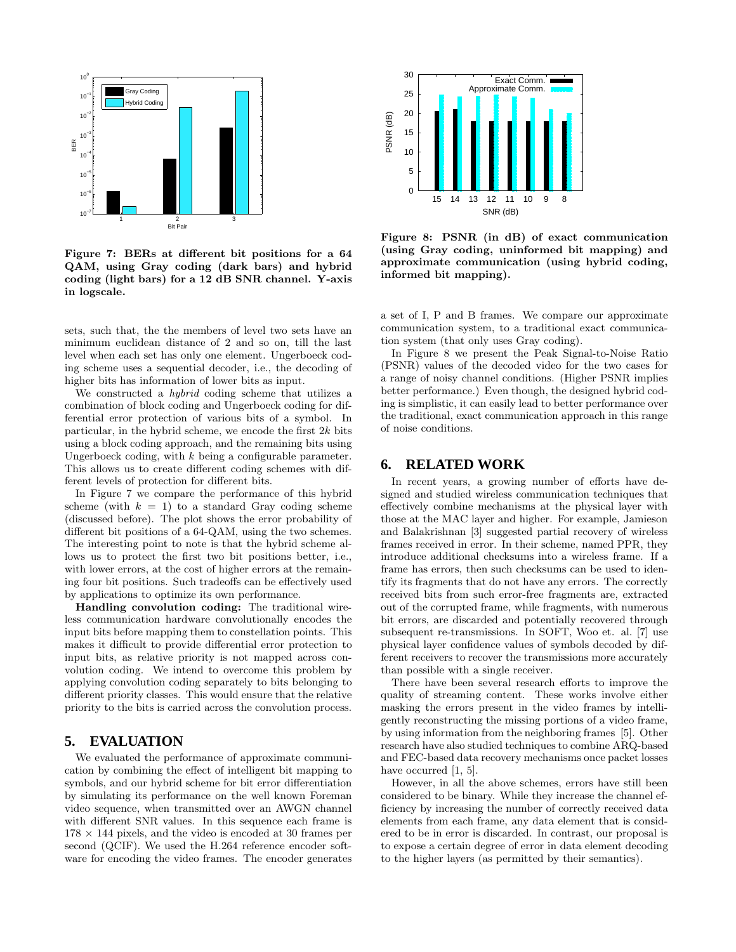

Figure 7: BERs at different bit positions for a 64 QAM, using Gray coding (dark bars) and hybrid coding (light bars) for a 12 dB SNR channel. Y-axis in logscale.

sets, such that, the the members of level two sets have an minimum euclidean distance of 2 and so on, till the last level when each set has only one element. Ungerboeck coding scheme uses a sequential decoder, i.e., the decoding of higher bits has information of lower bits as input.

We constructed a hybrid coding scheme that utilizes a combination of block coding and Ungerboeck coding for differential error protection of various bits of a symbol. In particular, in the hybrid scheme, we encode the first  $2k$  bits using a block coding approach, and the remaining bits using Ungerboeck coding, with  $k$  being a configurable parameter. This allows us to create different coding schemes with different levels of protection for different bits.

In Figure 7 we compare the performance of this hybrid scheme (with  $k = 1$ ) to a standard Gray coding scheme (discussed before). The plot shows the error probability of different bit positions of a 64-QAM, using the two schemes. The interesting point to note is that the hybrid scheme allows us to protect the first two bit positions better, i.e., with lower errors, at the cost of higher errors at the remaining four bit positions. Such tradeoffs can be effectively used by applications to optimize its own performance.

Handling convolution coding: The traditional wireless communication hardware convolutionally encodes the input bits before mapping them to constellation points. This makes it difficult to provide differential error protection to input bits, as relative priority is not mapped across convolution coding. We intend to overcome this problem by applying convolution coding separately to bits belonging to different priority classes. This would ensure that the relative priority to the bits is carried across the convolution process.

#### **5. EVALUATION**

We evaluated the performance of approximate communication by combining the effect of intelligent bit mapping to symbols, and our hybrid scheme for bit error differentiation by simulating its performance on the well known Foreman video sequence, when transmitted over an AWGN channel with different SNR values. In this sequence each frame is  $178 \times 144$  pixels, and the video is encoded at 30 frames per second (QCIF). We used the H.264 reference encoder software for encoding the video frames. The encoder generates



Figure 8: PSNR (in dB) of exact communication (using Gray coding, uninformed bit mapping) and approximate communication (using hybrid coding, informed bit mapping).

a set of I, P and B frames. We compare our approximate communication system, to a traditional exact communication system (that only uses Gray coding).

In Figure 8 we present the Peak Signal-to-Noise Ratio (PSNR) values of the decoded video for the two cases for a range of noisy channel conditions. (Higher PSNR implies better performance.) Even though, the designed hybrid coding is simplistic, it can easily lead to better performance over the traditional, exact communication approach in this range of noise conditions.

#### **6. RELATED WORK**

In recent years, a growing number of efforts have designed and studied wireless communication techniques that effectively combine mechanisms at the physical layer with those at the MAC layer and higher. For example, Jamieson and Balakrishnan [3] suggested partial recovery of wireless frames received in error. In their scheme, named PPR, they introduce additional checksums into a wireless frame. If a frame has errors, then such checksums can be used to identify its fragments that do not have any errors. The correctly received bits from such error-free fragments are, extracted out of the corrupted frame, while fragments, with numerous bit errors, are discarded and potentially recovered through subsequent re-transmissions. In SOFT, Woo et. al. [7] use physical layer confidence values of symbols decoded by different receivers to recover the transmissions more accurately than possible with a single receiver.

There have been several research efforts to improve the quality of streaming content. These works involve either masking the errors present in the video frames by intelligently reconstructing the missing portions of a video frame, by using information from the neighboring frames [5]. Other research have also studied techniques to combine ARQ-based and FEC-based data recovery mechanisms once packet losses have occurred [1, 5].

However, in all the above schemes, errors have still been considered to be binary. While they increase the channel efficiency by increasing the number of correctly received data elements from each frame, any data element that is considered to be in error is discarded. In contrast, our proposal is to expose a certain degree of error in data element decoding to the higher layers (as permitted by their semantics).